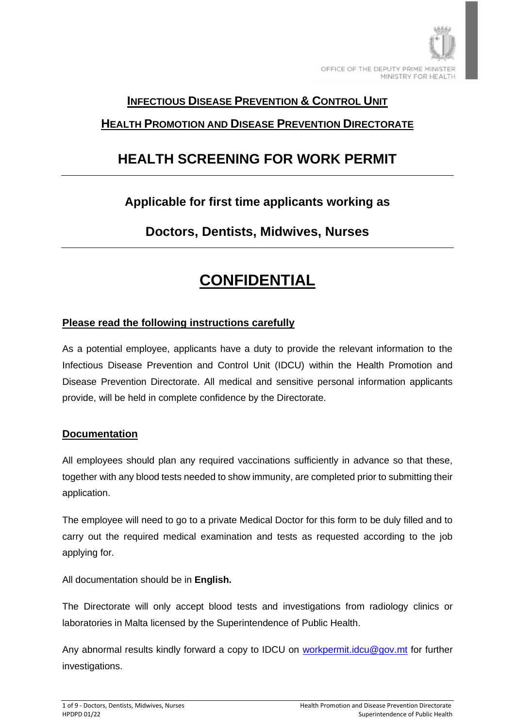

### **INFECTIOUS DISEASE PREVENTION & CONTROL UNIT**

## **HEALTH PROMOTION AND DISEASE PREVENTION DIRECTORATE**

# **HEALTH SCREENING FOR WORK PERMIT**

# **Applicable for first time applicants working as**

# **Doctors, Dentists, Midwives, Nurses**

# **CONFIDENTIAL**

### **Please read the following instructions carefully**

As a potential employee, applicants have a duty to provide the relevant information to the Infectious Disease Prevention and Control Unit (IDCU) within the Health Promotion and Disease Prevention Directorate. All medical and sensitive personal information applicants provide, will be held in complete confidence by the Directorate.

#### **Documentation**

All employees should plan any required vaccinations sufficiently in advance so that these, together with any blood tests needed to show immunity, are completed prior to submitting their application.

The employee will need to go to a private Medical Doctor for this form to be duly filled and to carry out the required medical examination and tests as requested according to the job applying for.

All documentation should be in **English.**

The Directorate will only accept blood tests and investigations from radiology clinics or laboratories in Malta licensed by the Superintendence of Public Health.

Any abnormal results kindly forward a copy to IDCU on [workpermit.idcu@gov.mt](mailto:workpermit.idcu@gov.mt) for further investigations.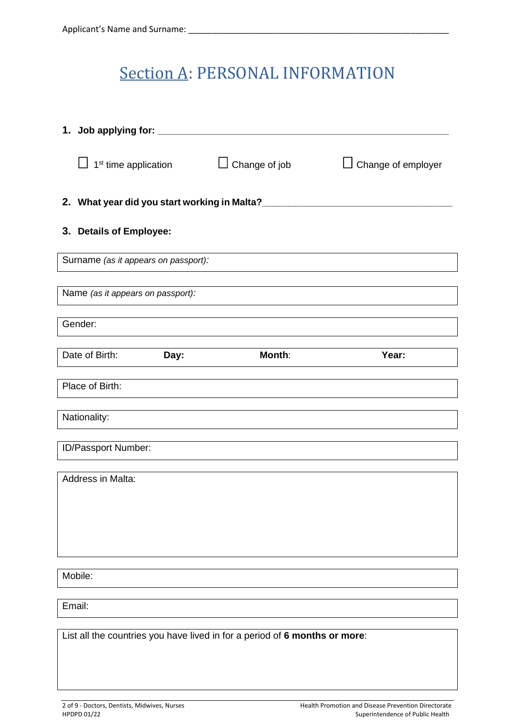# Section A: PERSONAL INFORMATION

| 1. Job applying for: ______ |                                                                            |                         |                           |  |
|-----------------------------|----------------------------------------------------------------------------|-------------------------|---------------------------|--|
|                             | 1 <sup>st</sup> time application                                           | Change of job<br>$\Box$ | $\Box$ Change of employer |  |
|                             | 2. What year did you start working in Malta?____                           |                         |                           |  |
|                             | 3. Details of Employee:                                                    |                         |                           |  |
|                             | Surname (as it appears on passport):                                       |                         |                           |  |
|                             | Name (as it appears on passport):                                          |                         |                           |  |
|                             | Gender:                                                                    |                         |                           |  |
|                             | Date of Birth:<br>Day:                                                     | Month:                  | Year:                     |  |
|                             | Place of Birth:                                                            |                         |                           |  |
|                             | Nationality:                                                               |                         |                           |  |
|                             | ID/Passport Number:                                                        |                         |                           |  |
| Address in Malta:           |                                                                            |                         |                           |  |
|                             |                                                                            |                         |                           |  |
|                             |                                                                            |                         |                           |  |
|                             | Mobile:                                                                    |                         |                           |  |
|                             |                                                                            |                         |                           |  |
|                             | Email:                                                                     |                         |                           |  |
|                             | List all the countries you have lived in for a period of 6 months or more: |                         |                           |  |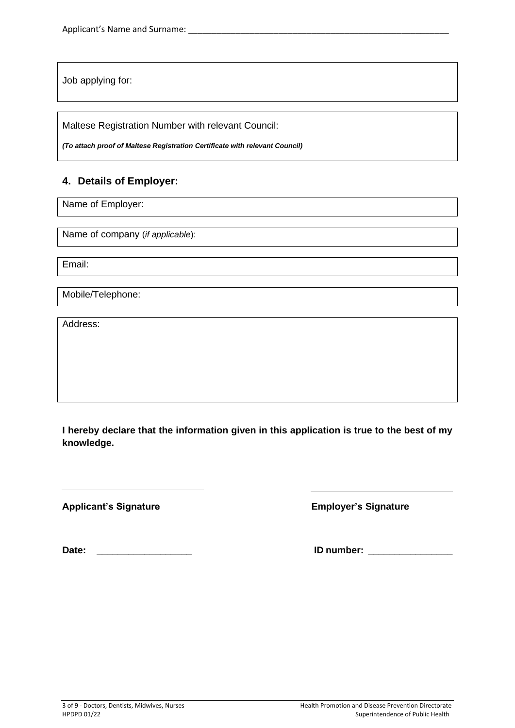Job applying for:

Maltese Registration Number with relevant Council:

*(To attach proof of Maltese Registration Certificate with relevant Council)*

#### **4. Details of Employer:**

Name of Employer:

Name of company (*if applicable*):

Email:

Mobile/Telephone:

Address:

**I hereby declare that the information given in this application is true to the best of my knowledge.**

**Applicant's Signature Employer's Signature** 

**Date: \_\_\_\_\_\_\_\_\_\_\_\_\_\_\_\_\_\_ ID number: \_\_\_\_\_\_\_\_\_\_\_\_\_\_\_\_**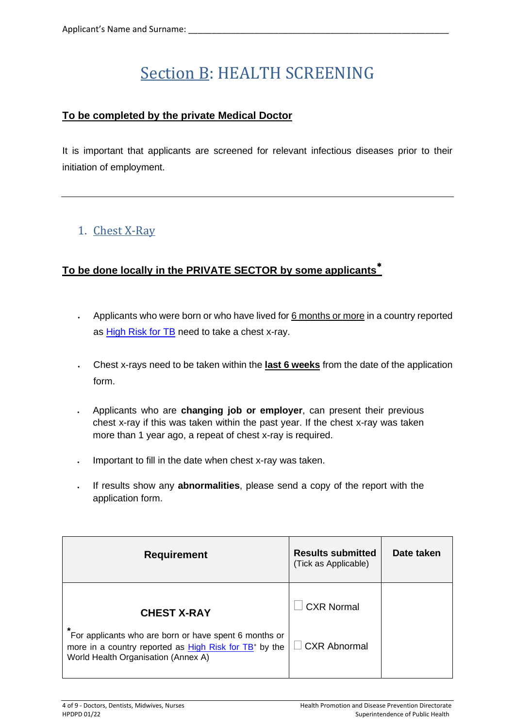# Section B: HEALTH SCREENING

### **To be completed by the private Medical Doctor**

It is important that applicants are screened for relevant infectious diseases prior to their initiation of employment.

# 1. Chest X-Ray

### **To be done locally in the PRIVATE SECTOR by some applicants**

- Applicants who were born or who have lived for 6 months or more in a country reported as [High Risk for TB](https://deputyprimeminister.gov.mt/en/health-promotion/idpcu/Documents/HIGH%20RISK%20TUBERCULOSIS%20COUNTRY%20LIST.pdf) need to take a chest x-ray.
- Chest x-rays need to be taken within the **last 6 weeks** from the date of the application form.
- Applicants who are **changing job or employer**, can present their previous chest x-ray if this was taken within the past year. If the chest x-ray was taken more than 1 year ago, a repeat of chest x-ray is required.
- Important to fill in the date when chest x-ray was taken.
- If results show any **abnormalities**, please send a copy of the report with the application form.

| <b>Requirement</b>                                                                                                                                                      | <b>Results submitted</b><br>(Tick as Applicable) | Date taken |
|-------------------------------------------------------------------------------------------------------------------------------------------------------------------------|--------------------------------------------------|------------|
| <b>CHEST X-RAY</b>                                                                                                                                                      | <b>CXR Normal</b>                                |            |
| *<br>For applicants who are born or have spent 6 months or<br>more in a country reported as High Risk for TB <sup>*</sup> by the<br>World Health Organisation (Annex A) | CXR Abnormal                                     |            |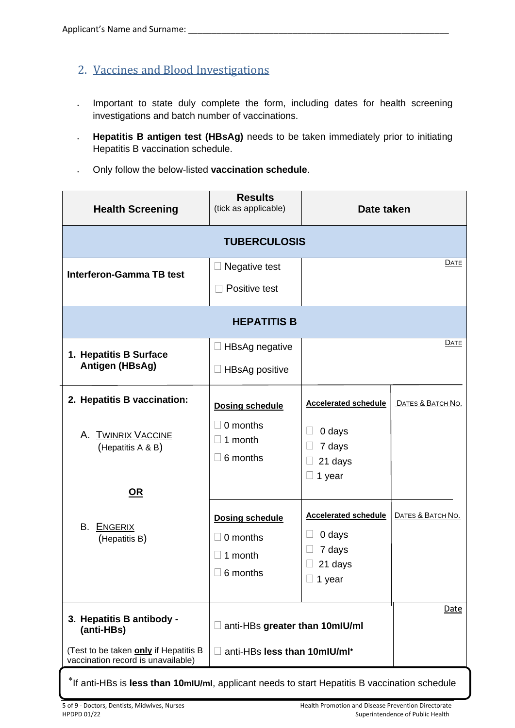- 2. Vaccines and Blood Investigations
- Important to state duly complete the form, including dates for health screening investigations and batch number of vaccinations.
- **Hepatitis B antigen test (HBsAg)** needs to be taken immediately prior to initiating Hepatitis B vaccination schedule.
- Only follow the below-listed **vaccination schedule**.

| <b>Health Screening</b>                                                     | <b>Results</b><br>(tick as applicable)                    | Date taken                                                                  |                   |
|-----------------------------------------------------------------------------|-----------------------------------------------------------|-----------------------------------------------------------------------------|-------------------|
|                                                                             | <b>TUBERCULOSIS</b>                                       |                                                                             |                   |
| <b>Interferon-Gamma TB test</b>                                             | Negative test                                             |                                                                             | DATE              |
|                                                                             | Positive test                                             |                                                                             |                   |
|                                                                             | <b>HEPATITIS B</b>                                        |                                                                             |                   |
| 1. Hepatitis B Surface                                                      | HBsAg negative                                            |                                                                             | DATE              |
| Antigen (HBsAg)                                                             | <b>HBsAg positive</b>                                     |                                                                             |                   |
| 2. Hepatitis B vaccination:                                                 | <b>Dosing schedule</b>                                    | <b>Accelerated schedule</b>                                                 | DATES & BATCH NO. |
| A. TWINRIX VACCINE<br>(Hepatitis A & B)                                     | 0 months<br>1 month<br>6 months                           | 0 days<br>7 days<br>21 days<br>1 year<br>$\Box$                             |                   |
| <u>OR</u><br>B. ENGERIX<br>(Hepatitis B)                                    | <b>Dosing schedule</b><br>0 months<br>1 month<br>6 months | <b>Accelerated schedule</b><br>0 days<br>7 days<br>21 days<br>$\Box$ 1 year | DATES & BATCH NO. |
| 3. Hepatitis B antibody -<br>(anti-HBs)                                     | anti-HBs greater than 10mlU/ml                            |                                                                             | Date              |
| (Test to be taken only if Hepatitis B<br>vaccination record is unavailable) | anti-HBs less than 10mlU/ml*                              |                                                                             |                   |

If anti-HBs is **less than 10mIU/ml**, applicant needs to start Hepatitis B vaccination schedule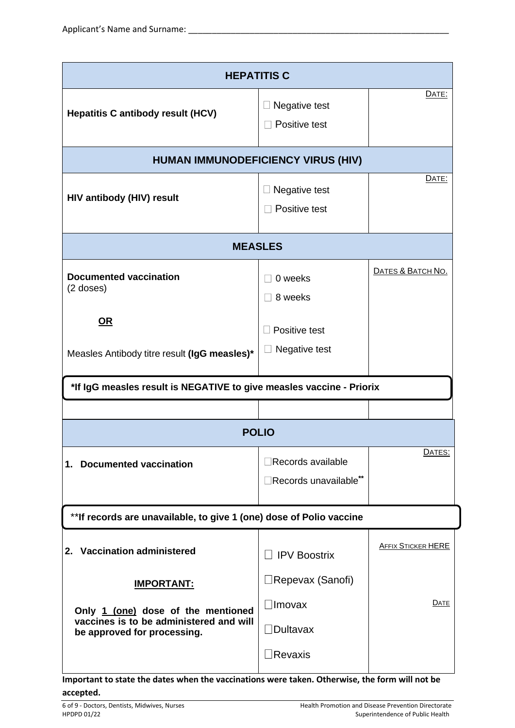| <b>HEPATITIS C</b>                                                                                           |                                                   |                           |
|--------------------------------------------------------------------------------------------------------------|---------------------------------------------------|---------------------------|
| <b>Hepatitis C antibody result (HCV)</b>                                                                     | Negative test<br>Positive test                    | DATE:                     |
| <b>HUMAN IMMUNODEFICIENCY VIRUS (HIV)</b>                                                                    |                                                   |                           |
| <b>HIV antibody (HIV) result</b>                                                                             | Negative test<br>$\Box$ Positive test             | DATE:                     |
| <b>MEASLES</b>                                                                                               |                                                   |                           |
| <b>Documented vaccination</b><br>$(2$ doses)<br><u>OR</u>                                                    | 0 weeks<br>8 weeks                                | DATES & BATCH NO.         |
| Measles Antibody titre result (IgG measles)*                                                                 | Positive test<br>Negative test                    |                           |
| *If IgG measles result is NEGATIVE to give measles vaccine - Priorix                                         |                                                   |                           |
|                                                                                                              |                                                   |                           |
|                                                                                                              | <b>POLIO</b>                                      |                           |
| 1. Documented vaccination                                                                                    | $\Box$ Records available<br>Records unavailable** | DATES:                    |
| ** If records are unavailable, to give 1 (one) dose of Polio vaccine                                         |                                                   |                           |
| 2. Vaccination administered                                                                                  | <b>IPV Boostrix</b>                               | <b>AFFIX STICKER HERE</b> |
| <u><b>IMPORTANT:</b></u>                                                                                     | $\Box$ Repevax (Sanofi)                           |                           |
| Only 1 (one) dose of the mentioned<br>vaccines is to be administered and will<br>be approved for processing. | <b>Imovax</b><br>$\Box$ Dultavax                  | DATE                      |
|                                                                                                              | <b>Revaxis</b>                                    |                           |

**Important to state the dates when the vaccinations were taken. Otherwise, the form will not be accepted.**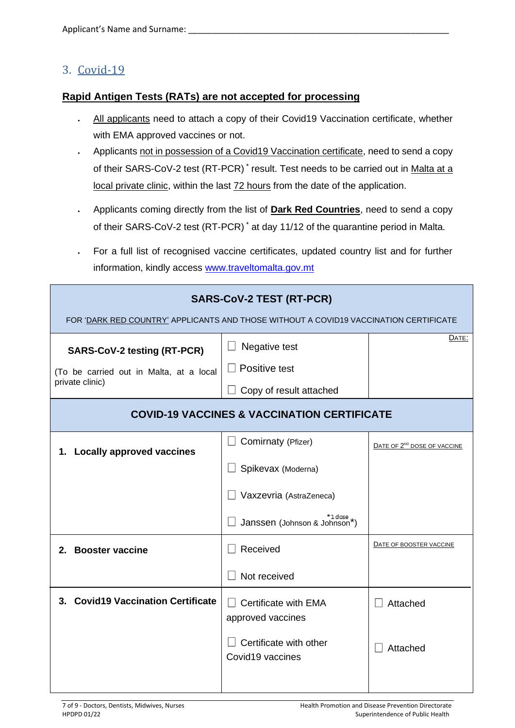### 3. Covid-19

#### **Rapid Antigen Tests (RATs) are not accepted for processing**

- All applicants need to attach a copy of their Covid19 Vaccination certificate, whether with EMA approved vaccines or not.
- Applicants not in possession of a Covid19 Vaccination certificate, need to send a copy of their SARS-CoV-2 test (RT-PCR)<sup>\*</sup> result. Test needs to be carried out in Malta at a local private clinic, within the last 72 hours from the date of the application.
- Applicants coming directly from the list of **Dark Red Countries**, need to send a copy of their SARS-CoV-2 test (RT-PCR) \* at day 11/12 of the quarantine period in Malta.
- For a full list of recognised vaccine certificates, updated country list and for further information, kindly access [www.traveltomalta.gov.mt](http://www.traveltomalta.gov.mt/)

| <b>SARS-CoV-2 TEST (RT-PCR)</b><br>FOR 'DARK RED COUNTRY' APPLICANTS AND THOSE WITHOUT A COVID19 VACCINATION CERTIFICATE |                                                           |                                         |
|--------------------------------------------------------------------------------------------------------------------------|-----------------------------------------------------------|-----------------------------------------|
| <b>SARS-CoV-2 testing (RT-PCR)</b><br>(To be carried out in Malta, at a local<br>private clinic)                         | Negative test<br>Positive test<br>Copy of result attached | DATE:                                   |
| <b>COVID-19 VACCINES &amp; VACCINATION CERTIFICATE</b>                                                                   |                                                           |                                         |
| <b>Locally approved vaccines</b><br>1.                                                                                   | Comirnaty (Pfizer)                                        | DATE OF 2 <sup>ND</sup> DOSE OF VACCINE |
|                                                                                                                          | Spikevax (Moderna)                                        |                                         |
|                                                                                                                          | Vaxzevria (AstraZeneca)                                   |                                         |
|                                                                                                                          | <sup>+1 dose</sup><br>Janssen (Johnson & Johnson*)        |                                         |
| 2. Booster vaccine                                                                                                       | Received                                                  | DATE OF BOOSTER VACCINE                 |
|                                                                                                                          | Not received                                              |                                         |
| 3. Covid19 Vaccination Certificate                                                                                       | Certificate with EMA                                      | Attached                                |
|                                                                                                                          | approved vaccines                                         |                                         |
|                                                                                                                          | Certificate with other<br>Covid19 vaccines                | Attached                                |
|                                                                                                                          |                                                           |                                         |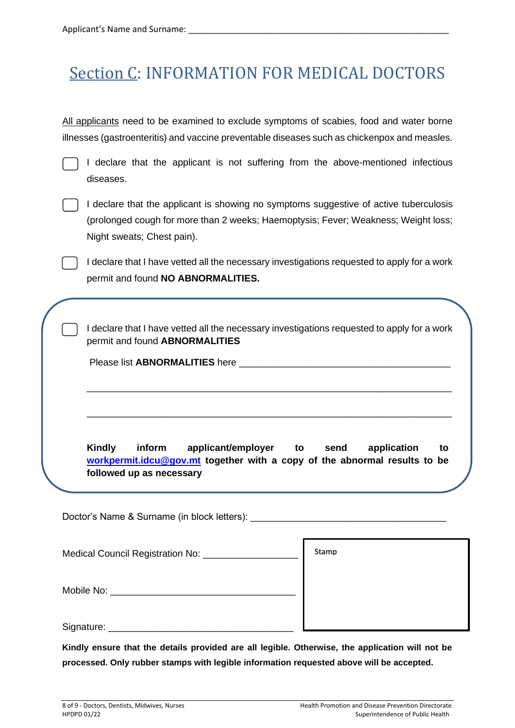# Section C: INFORMATION FOR MEDICAL DOCTORS

All applicants need to be examined to exclude symptoms of scabies, food and water borne illnesses (gastroenteritis) and vaccine preventable diseases such as chickenpox and measles.

I declare that the applicant is not suffering from the above-mentioned infectious diseases.

| I declare that the applicant is showing no symptoms suggestive of active tuberculosis |
|---------------------------------------------------------------------------------------|
| (prolonged cough for more than 2 weeks; Haemoptysis; Fever; Weakness; Weight loss;    |
| Night sweats; Chest pain).                                                            |

I declare that I have vetted all the necessary investigations requested to apply for a work permit and found **NO ABNORMALITIES.**

I declare that I have vetted all the necessary investigations requested to apply for a work permit and found **ABNORMALITIES**

\_\_\_\_\_\_\_\_\_\_\_\_\_\_\_\_\_\_\_\_\_\_\_\_\_\_\_\_\_\_\_\_\_\_\_\_\_\_\_\_\_\_\_\_\_\_\_\_\_\_\_\_\_\_\_\_\_\_\_\_\_\_\_\_\_\_\_\_\_

\_\_\_\_\_\_\_\_\_\_\_\_\_\_\_\_\_\_\_\_\_\_\_\_\_\_\_\_\_\_\_\_\_\_\_\_\_\_\_\_\_\_\_\_\_\_\_\_\_\_\_\_\_\_\_\_\_\_\_\_\_\_\_\_\_\_\_\_\_

Please list ABNORMALITIES here **Letters** and the set of the set of the set of the set of the set of the set of the set of the set of the set of the set of the set of the set of the set of the set of the set of the set of t

**Kindly inform applicant/employer to send application to [workpermit.idcu@gov.mt](mailto:workpermit.idcu@gov.mt) together with a copy of the abnormal results to be followed up as necessary**

Doctor's Name & Surname (in block letters):

| Medical Council Registration No: | Stamp |
|----------------------------------|-------|
| Mobile No:                       |       |
| Signature:                       |       |

**Kindly ensure that the details provided are all legible. Otherwise, the application will not be processed. Only rubber stamps with legible information requested above will be accepted.**